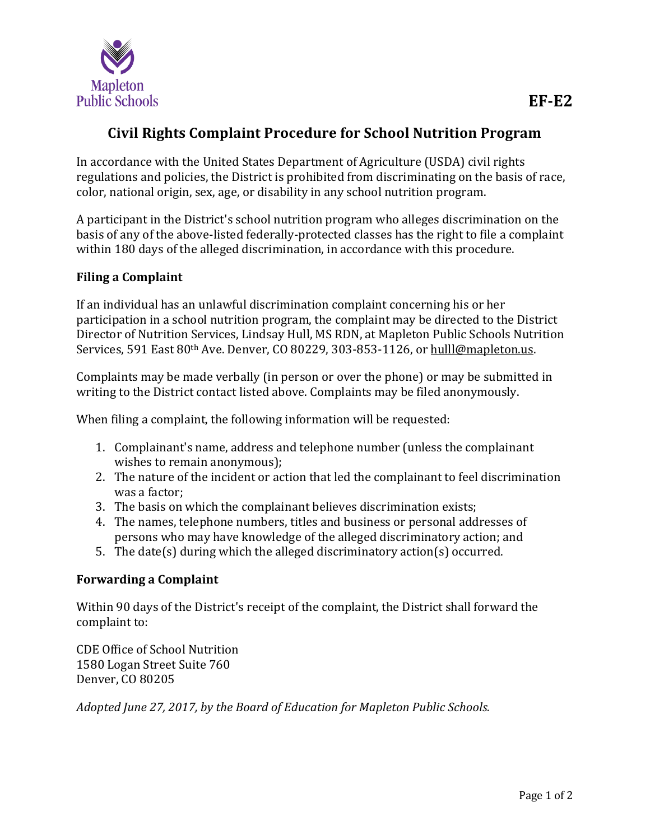

## **Civil Rights Complaint Procedure for School Nutrition Program**

In accordance with the United States Department of Agriculture (USDA) civil rights regulations and policies, the District is prohibited from discriminating on the basis of race, color, national origin, sex, age, or disability in any school nutrition program.

A participant in the District's school nutrition program who alleges discrimination on the basis of any of the above-listed federally-protected classes has the right to file a complaint within 180 days of the alleged discrimination, in accordance with this procedure.

## **Filing a Complaint**

If an individual has an unlawful discrimination complaint concerning his or her participation in a school nutrition program, the complaint may be directed to the District Director of Nutrition Services, Lindsay Hull, MS RDN, at Mapleton Public Schools Nutrition Services, 591 East 80<sup>th</sup> Ave. Denver, CO 80229, 303-853-1126, or [hulll@mapleton.us.](mailto:hulll@mapleton.us)

Complaints may be made verbally (in person or over the phone) or may be submitted in writing to the District contact listed above. Complaints may be filed anonymously.

When filing a complaint, the following information will be requested:

- 1. Complainant's name, address and telephone number (unless the complainant wishes to remain anonymous);
- 2. The nature of the incident or action that led the complainant to feel discrimination was a factor;
- 3. The basis on which the complainant believes discrimination exists;
- 4. The names, telephone numbers, titles and business or personal addresses of persons who may have knowledge of the alleged discriminatory action; and
- 5. The date(s) during which the alleged discriminatory action(s) occurred.

## **Forwarding a Complaint**

Within 90 days of the District's receipt of the complaint, the District shall forward the complaint to:

CDE Office of School Nutrition 1580 Logan Street Suite 760 Denver, CO 80205

*Adopted June 27, 2017, by the Board of Education for Mapleton Public Schools.*